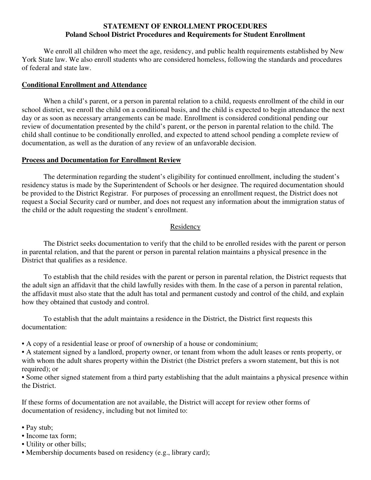# **STATEMENT OF ENROLLMENT PROCEDURES Poland School District Procedures and Requirements for Student Enrollment**

 We enroll all children who meet the age, residency, and public health requirements established by New York State law. We also enroll students who are considered homeless, following the standards and procedures of federal and state law.

#### **Conditional Enrollment and Attendance**

 When a child's parent, or a person in parental relation to a child, requests enrollment of the child in our school district, we enroll the child on a conditional basis, and the child is expected to begin attendance the next day or as soon as necessary arrangements can be made. Enrollment is considered conditional pending our review of documentation presented by the child's parent, or the person in parental relation to the child. The child shall continue to be conditionally enrolled, and expected to attend school pending a complete review of documentation, as well as the duration of any review of an unfavorable decision.

#### **Process and Documentation for Enrollment Review**

 The determination regarding the student's eligibility for continued enrollment, including the student's residency status is made by the Superintendent of Schools or her designee. The required documentation should be provided to the District Registrar. For purposes of processing an enrollment request, the District does not request a Social Security card or number, and does not request any information about the immigration status of the child or the adult requesting the student's enrollment.

### Residency

 The District seeks documentation to verify that the child to be enrolled resides with the parent or person in parental relation, and that the parent or person in parental relation maintains a physical presence in the District that qualifies as a residence.

 To establish that the child resides with the parent or person in parental relation, the District requests that the adult sign an affidavit that the child lawfully resides with them. In the case of a person in parental relation, the affidavit must also state that the adult has total and permanent custody and control of the child, and explain how they obtained that custody and control.

 To establish that the adult maintains a residence in the District, the District first requests this documentation:

• A copy of a residential lease or proof of ownership of a house or condominium;

• A statement signed by a landlord, property owner, or tenant from whom the adult leases or rents property, or with whom the adult shares property within the District (the District prefers a sworn statement, but this is not required); or

• Some other signed statement from a third party establishing that the adult maintains a physical presence within the District.

If these forms of documentation are not available, the District will accept for review other forms of documentation of residency, including but not limited to:

- Pay stub;
- Income tax form;
- Utility or other bills;
- Membership documents based on residency (e.g., library card);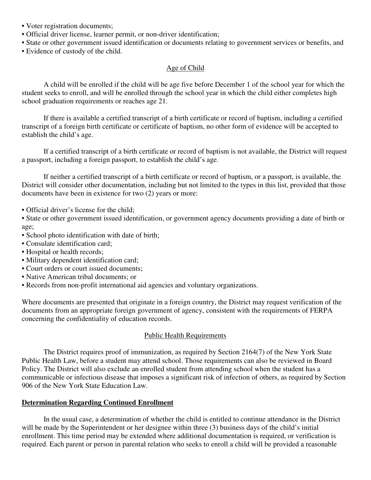- Voter registration documents;
- Official driver license, learner permit, or non-driver identification;
- State or other government issued identification or documents relating to government services or benefits, and
- Evidence of custody of the child.

# Age of Child

 A child will be enrolled if the child will be age five before December 1 of the school year for which the student seeks to enroll, and will be enrolled through the school year in which the child either completes high school graduation requirements or reaches age 21.

 If there is available a certified transcript of a birth certificate or record of baptism, including a certified transcript of a foreign birth certificate or certificate of baptism, no other form of evidence will be accepted to establish the child's age.

 If a certified transcript of a birth certificate or record of baptism is not available, the District will request a passport, including a foreign passport, to establish the child's age.

 If neither a certified transcript of a birth certificate or record of baptism, or a passport, is available, the District will consider other documentation, including but not limited to the types in this list, provided that those documents have been in existence for two (2) years or more:

• Official driver's license for the child;

• State or other government issued identification, or government agency documents providing a date of birth or age;

- School photo identification with date of birth;
- Consulate identification card;
- Hospital or health records;
- Military dependent identification card;
- Court orders or court issued documents;
- Native American tribal documents; or
- Records from non-profit international aid agencies and voluntary organizations.

Where documents are presented that originate in a foreign country, the District may request verification of the documents from an appropriate foreign government of agency, consistent with the requirements of FERPA concerning the confidentiality of education records.

### Public Health Requirements

 The District requires proof of immunization, as required by Section 2164(7) of the New York State Public Health Law, before a student may attend school. Those requirements can also be reviewed in Board Policy. The District will also exclude an enrolled student from attending school when the student has a communicable or infectious disease that imposes a significant risk of infection of others, as required by Section 906 of the New York State Education Law.

### **Determination Regarding Continued Enrollment**

 In the usual case, a determination of whether the child is entitled to continue attendance in the District will be made by the Superintendent or her designee within three (3) business days of the child's initial enrollment. This time period may be extended where additional documentation is required, or verification is required. Each parent or person in parental relation who seeks to enroll a child will be provided a reasonable